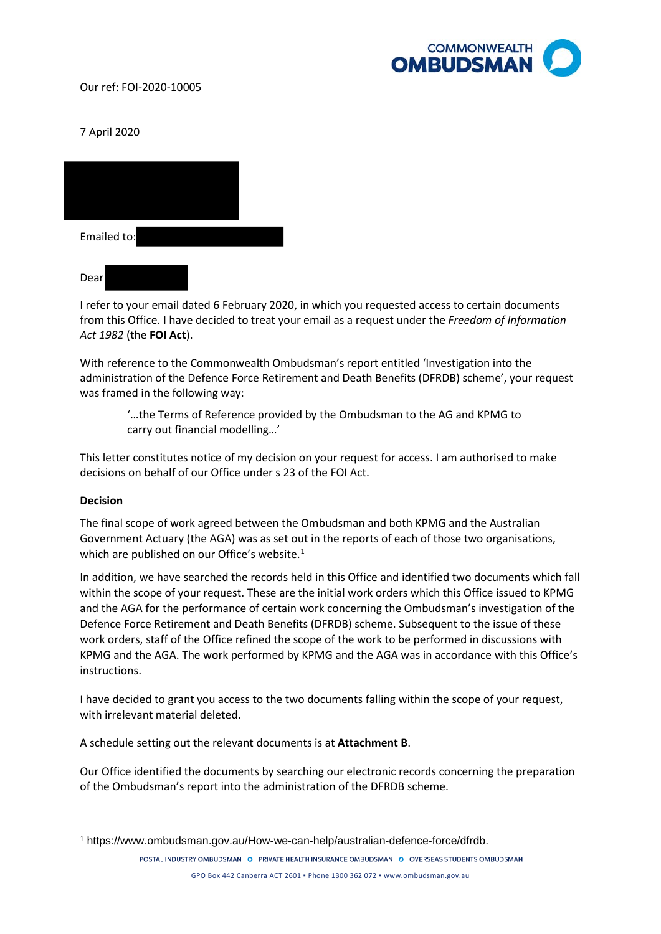

7 April 2020

| Emailed to: |  |
|-------------|--|
| Dear        |  |

I refer to your email dated 6 February 2020, in which you requested access to certain documents from this Office. I have decided to treat your email as a request under the *Freedom of Information Act 1982* (the **FOI Act**).

With reference to the Commonwealth Ombudsman's report entitled 'Investigation into the administration of the Defence Force Retirement and Death Benefits (DFRDB) scheme', your request was framed in the following way:

'…the Terms of Reference provided by the Ombudsman to the AG and KPMG to carry out financial modelling…'

This letter constitutes notice of my decision on your request for access. I am authorised to make decisions on behalf of our Office under s 23 of the FOI Act.

## **Decision**

-

The final scope of work agreed between the Ombudsman and both KPMG and the Australian Government Actuary (the AGA) was as set out in the reports of each of those two organisations, which are published on our Office's website.<sup>[1](#page-0-0)</sup>

In addition, we have searched the records held in this Office and identified two documents which fall within the scope of your request. These are the initial work orders which this Office issued to KPMG and the AGA for the performance of certain work concerning the Ombudsman's investigation of the Defence Force Retirement and Death Benefits (DFRDB) scheme. Subsequent to the issue of these work orders, staff of the Office refined the scope of the work to be performed in discussions with KPMG and the AGA. The work performed by KPMG and the AGA was in accordance with this Office's instructions.

I have decided to grant you access to the two documents falling within the scope of your request, with irrelevant material deleted.

A schedule setting out the relevant documents is at **Attachment B**.

Our Office identified the documents by searching our electronic records concerning the preparation of the Ombudsman's report into the administration of the DFRDB scheme.

POSTAL INDUSTRY OMBUDSMAN O PRIVATE HEALTH INSURANCE OMBUDSMAN O OVERSEAS STUDENTS OMBUDSMAN GPO Box 442 Canberra ACT 2601 ▪ Phone 1300 362 072 ▪ www.ombudsman.gov.au

<span id="page-0-0"></span><sup>1</sup> https://www.ombudsman.gov.au/How-we-can-help/australian-defence-force/dfrdb.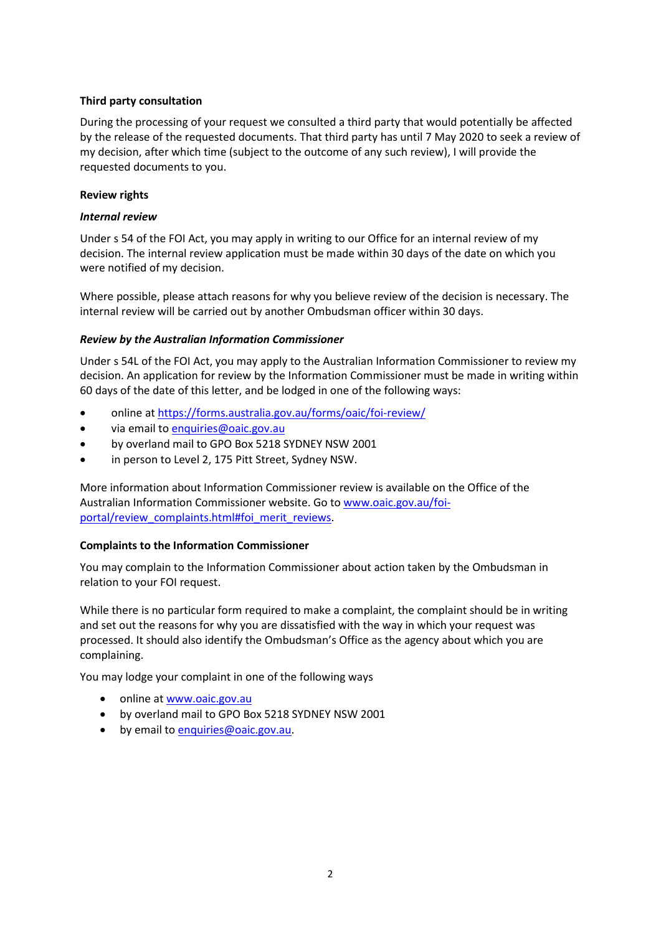# **Third party consultation**

During the processing of your request we consulted a third party that would potentially be affected by the release of the requested documents. That third party has until 7 May 2020 to seek a review of my decision, after which time (subject to the outcome of any such review), I will provide the requested documents to you.

## **Review rights**

# *Internal review*

Under s 54 of the FOI Act, you may apply in writing to our Office for an internal review of my decision. The internal review application must be made within 30 days of the date on which you were notified of my decision.

Where possible, please attach reasons for why you believe review of the decision is necessary. The internal review will be carried out by another Ombudsman officer within 30 days.

# *Review by the Australian Information Commissioner*

Under s 54L of the FOI Act, you may apply to the Australian Information Commissioner to review my decision. An application for review by the Information Commissioner must be made in writing within 60 days of the date of this letter, and be lodged in one of the following ways:

- online at [https://forms.australia.gov.au/forms/oaic/foi](https://forms.australia.gov.au/forms/oaic/foi-review/)-review/
- via email t[o enquiries@oaic.gov.au](mailto:enquiries@oaic.gov.au)
- by overland mail to GPO Box 5218 SYDNEY NSW 2001
- in person to Level 2, 175 Pitt Street, Sydney NSW.

More information about Information Commissioner review is available on the Office of the Australian Information Commissioner website. Go t[o www.oaic.gov.au/foi](http://www.oaic.gov.au/foi-portal/review_complaints.html#foi_merit_reviews)[portal/review\\_complaints.html#foi\\_merit\\_reviews.](http://www.oaic.gov.au/foi-portal/review_complaints.html#foi_merit_reviews)

## **Complaints to the Information Commissioner**

You may complain to the Information Commissioner about action taken by the Ombudsman in relation to your FOI request.

While there is no particular form required to make a complaint, the complaint should be in writing and set out the reasons for why you are dissatisfied with the way in which your request was processed. It should also identify the Ombudsman's Office as the agency about which you are complaining.

You may lodge your complaint in one of the following ways

- online at [www.oaic.gov.au](http://www.oaic.gov.au/)
- by overland mail to GPO Box 5218 SYDNEY NSW 2001
- by email to [enquiries@oaic.gov.au.](mailto:enquiries@oaic.gov.au)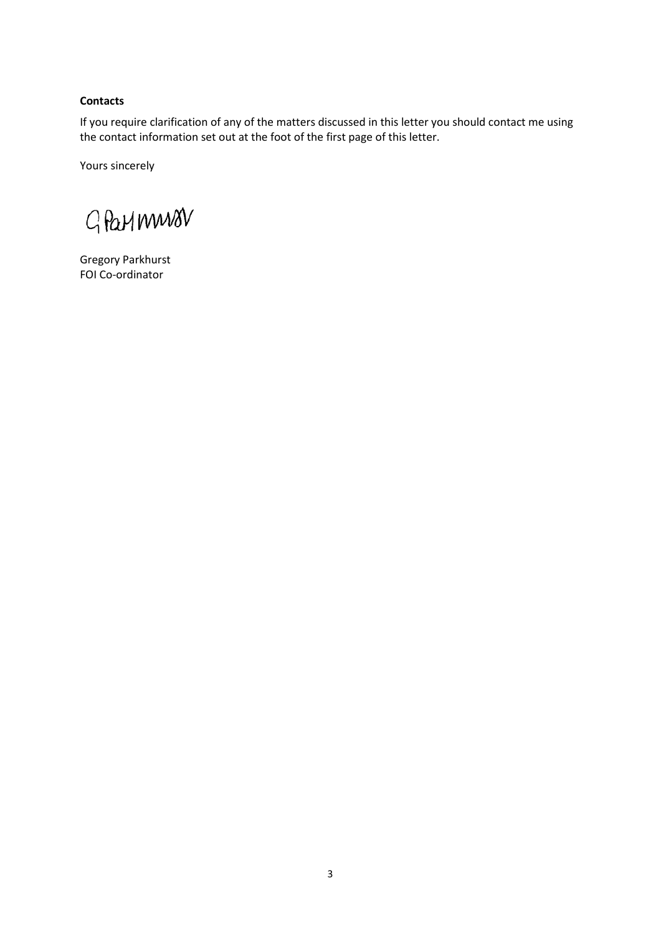# **Contacts**

If you require clarification of any of the matters discussed in this letter you should contact me using the contact information set out at the foot of the first page of this letter.

Yours sincerely

GParlmwav

Gregory Parkhurst FOI Co-ordinator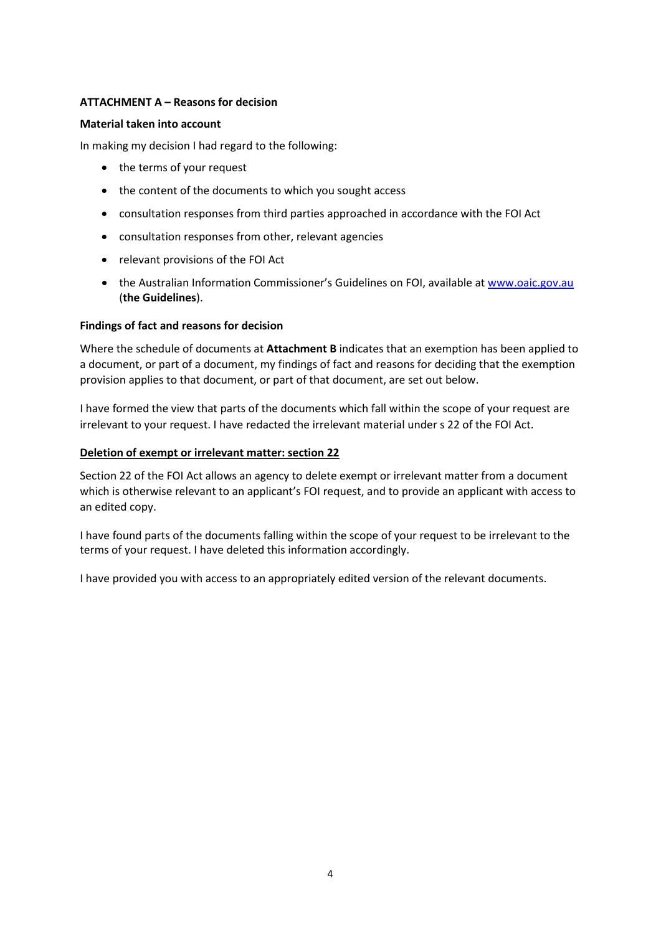# **ATTACHMENT A – Reasons for decision**

## **Material taken into account**

In making my decision I had regard to the following:

- the terms of your request
- the content of the documents to which you sought access
- consultation responses from third parties approached in accordance with the FOI Act
- consultation responses from other, relevant agencies
- relevant provisions of the FOI Act
- the Australian Information Commissioner's Guidelines on FOI, available at [www.oaic.gov.au](http://www.oaic.gov.au/) (**the Guidelines**).

## **Findings of fact and reasons for decision**

Where the schedule of documents at **Attachment B** indicates that an exemption has been applied to a document, or part of a document, my findings of fact and reasons for deciding that the exemption provision applies to that document, or part of that document, are set out below.

I have formed the view that parts of the documents which fall within the scope of your request are irrelevant to your request. I have redacted the irrelevant material under s 22 of the FOI Act.

## **Deletion of exempt or irrelevant matter: section 22**

Section 22 of the FOI Act allows an agency to delete exempt or irrelevant matter from a document which is otherwise relevant to an applicant's FOI request, and to provide an applicant with access to an edited copy.

I have found parts of the documents falling within the scope of your request to be irrelevant to the terms of your request. I have deleted this information accordingly.

I have provided you with access to an appropriately edited version of the relevant documents.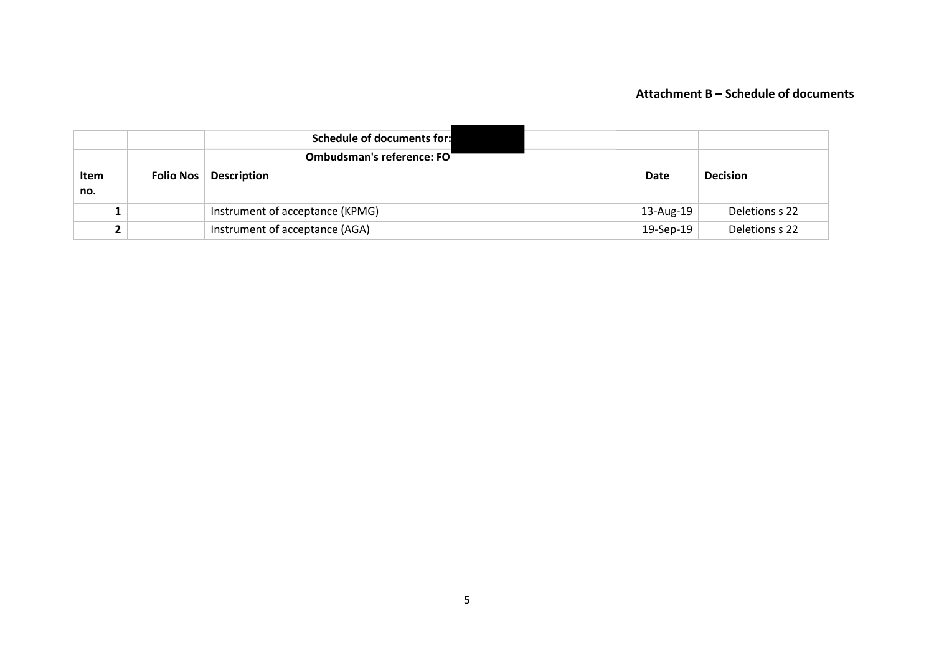# **Attachment B – Schedule of documents**

|                    |           | <b>Schedule of documents for:</b><br><b>Ombudsman's reference: FO</b> |           |                 |
|--------------------|-----------|-----------------------------------------------------------------------|-----------|-----------------|
| <b>Item</b><br>no. | Folio Nos | <b>Description</b>                                                    | Date      | <b>Decision</b> |
|                    |           | Instrument of acceptance (KPMG)                                       | 13-Aug-19 | Deletions s 22  |
| ∼                  |           | Instrument of acceptance (AGA)                                        | 19-Sep-19 | Deletions s 22  |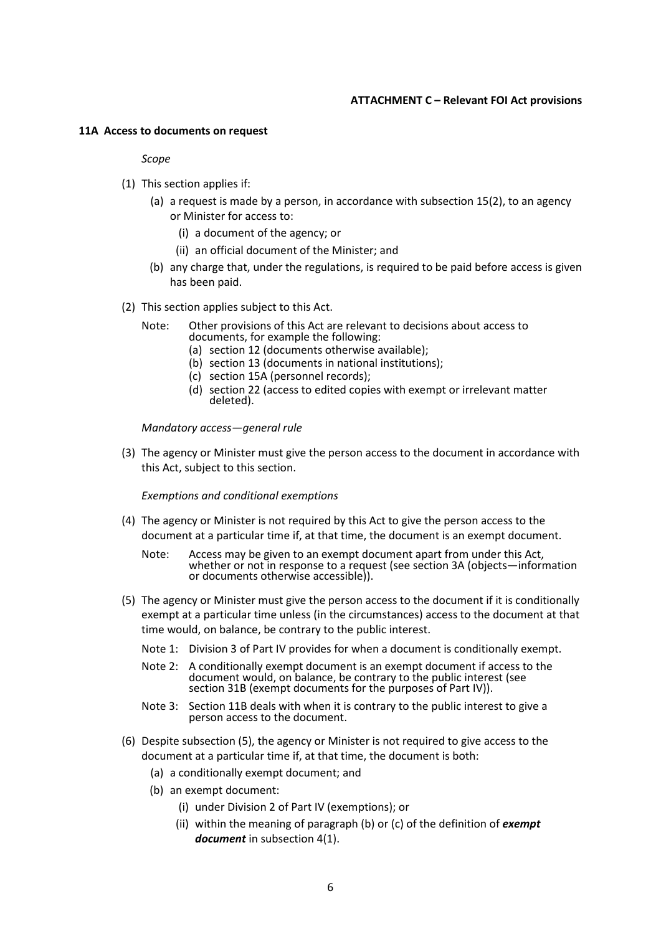# **ATTACHMENT C – Relevant FOI Act provisions**

#### **11A Access to documents on request**

#### *Scope*

- (1) This section applies if:
	- (a) a request is made by a person, in accordance with subsection 15(2), to an agency or Minister for access to:
		- (i) a document of the agency; or
		- (ii) an official document of the Minister; and
	- (b) any charge that, under the regulations, is required to be paid before access is given has been paid.
- (2) This section applies subject to this Act.
	- Note: Other provisions of this Act are relevant to decisions about access to documents, for example the following:
		- (a) section 12 (documents otherwise available);
		- (b) section 13 (documents in national institutions);
		- (c) section 15A (personnel records);
		- (d) section 22 (access to edited copies with exempt or irrelevant matter deleted).

*Mandatory access—general rule*

(3) The agency or Minister must give the person access to the document in accordance with this Act, subject to this section.

*Exemptions and conditional exemptions*

- (4) The agency or Minister is not required by this Act to give the person access to the document at a particular time if, at that time, the document is an exempt document.
	- Note: Access may be given to an exempt document apart from under this Act, whether or not in response to a request (see section 3A (objects—information or documents otherwise accessible)).
- (5) The agency or Minister must give the person access to the document if it is conditionally exempt at a particular time unless (in the circumstances) access to the document at that time would, on balance, be contrary to the public interest.
	- Note 1: Division 3 of Part IV provides for when a document is conditionally exempt.
	- Note 2: A conditionally exempt document is an exempt document if access to the document would, on balance, be contrary to the public interest (see section 31B (exempt documents for the purposes of Part IV)).
	- Note 3: Section 11B deals with when it is contrary to the public interest to give a person access to the document.
- (6) Despite subsection (5), the agency or Minister is not required to give access to the document at a particular time if, at that time, the document is both:
	- (a) a conditionally exempt document; and
	- (b) an exempt document:
		- (i) under Division 2 of Part IV (exemptions); or
		- (ii) within the meaning of paragraph (b) or (c) of the definition of *exempt document* in subsection 4(1).